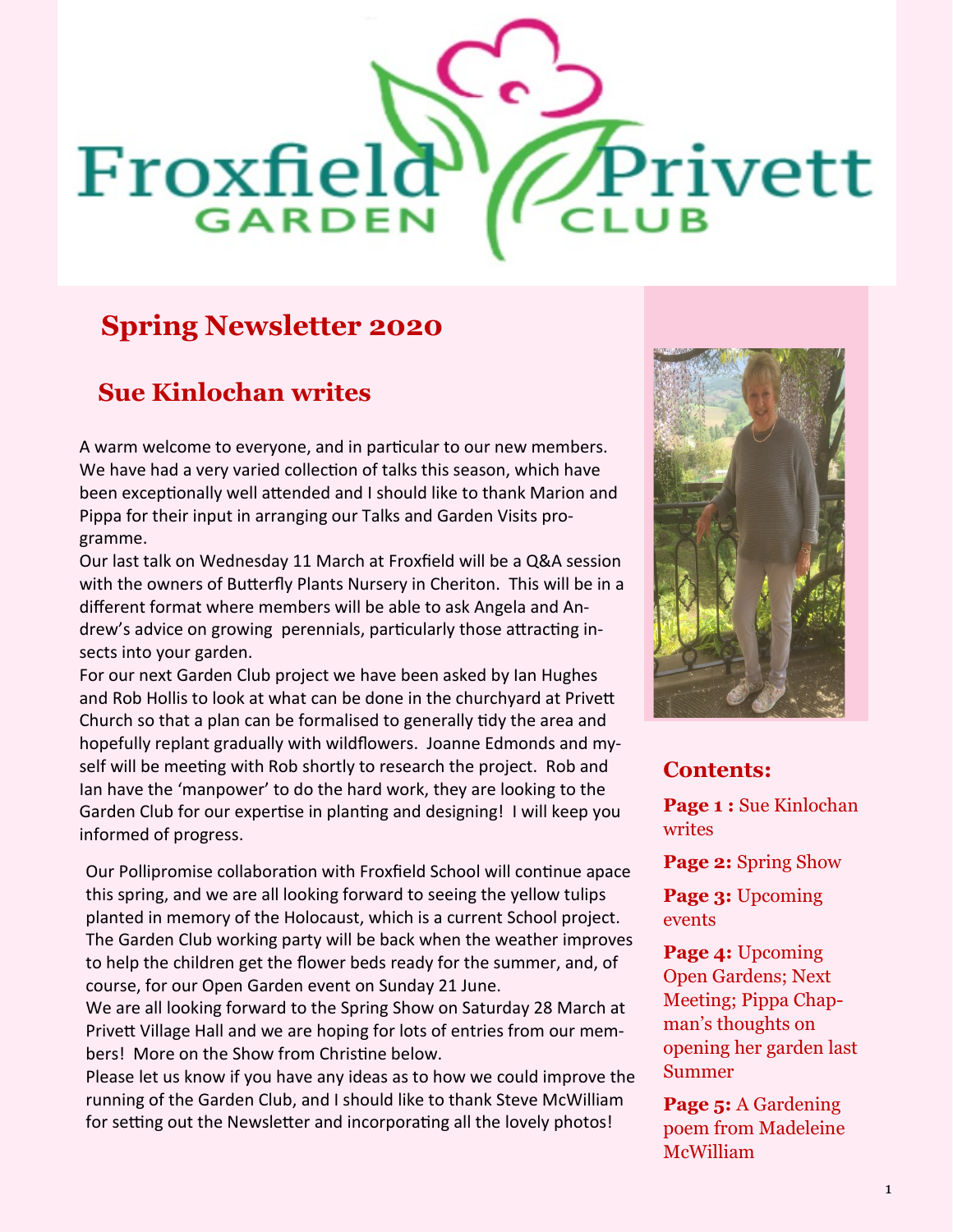# FROM STRONG GARDEN CLUB Privett Newsletter Date CLUBCLUB  $\sim$ **GARDEN**

# **Spring Newsletter 2020**

## **Sue Kinlochan writes**

A warm welcome to everyone, and in particular to our new members. We have had a very varied collection of talks this season, which have been exceptionally well attended and I should like to thank Marion and Pippa for their input in arranging our Talks and Garden Visits programme.

Our last talk on Wednesday 11 March at Froxfield will be a Q&A session with the owners of Butterfly Plants Nursery in Cheriton. This will be in a different format where members will be able to ask Angela and Andrew's advice on growing perennials, particularly those attracting insects into your garden.

For our next Garden Club project we have been asked by Ian Hughes and Rob Hollis to look at what can be done in the churchyard at Privett Church so that a plan can be formalised to generally tidy the area and hopefully replant gradually with wildflowers. Joanne Edmonds and myself will be meeting with Rob shortly to research the project. Rob and Ian have the 'manpower' to do the hard work, they are looking to the Garden Club for our expertise in planting and designing! I will keep you informed of progress.

Our Pollipromise collaboration with Froxfield School will continue apace this spring, and we are all looking forward to seeing the yellow tulips planted in memory of the Holocaust, which is a current School project. The Garden Club working party will be back when the weather improves to help the children get the flower beds ready for the summer, and, of course, for our Open Garden event on Sunday 21 June.

We are all looking forward to the Spring Show on Saturday 28 March at Privett Village Hall and we are hoping for lots of entries from our members! More on the Show from Christine below.

Please let us know if you have any ideas as to how we could improve the running of the Garden Club, and I should like to thank Steve McWilliam for setting out the Newsletter and incorporating all the lovely photos!



#### **Contents:**

**Page 1 :** Sue Kinlochan writes

**Page 2:** Spring Show

**Page 3:** Upcoming events

**Page 4:** Upcoming Open Gardens; Next Meeting; Pippa Chapman's thoughts on opening her garden last Summer

**Page 5:** A Gardening poem from Madeleine McWilliam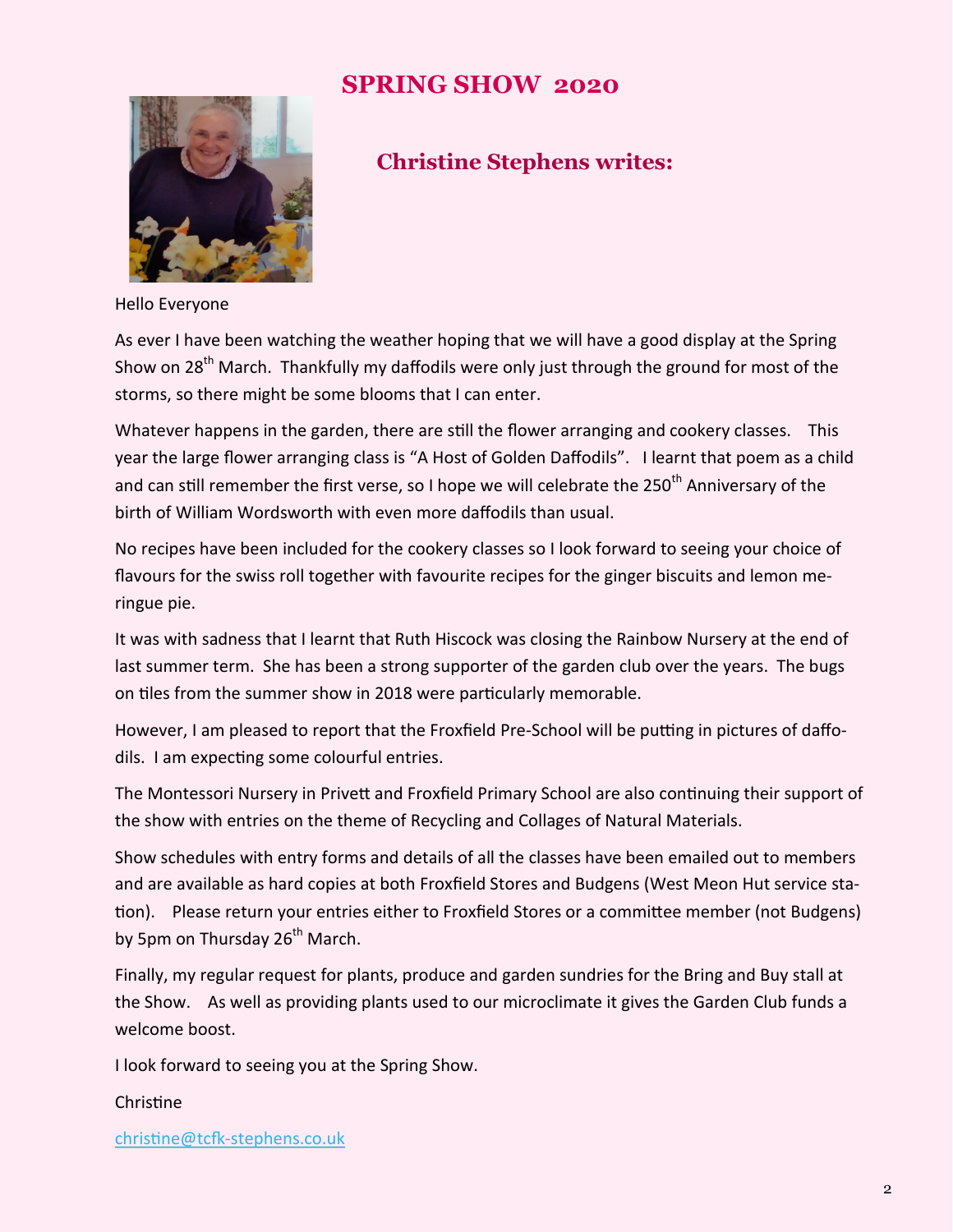### **SPRING SHOW 2020**



### **Christine Stephens writes:**

Hello Everyone

As ever I have been watching the weather hoping that we will have a good display at the Spring Show on 28<sup>th</sup> March. Thankfully my daffodils were only just through the ground for most of the storms, so there might be some blooms that I can enter.

Whatever happens in the garden, there are still the flower arranging and cookery classes. This year the large flower arranging class is "A Host of Golden Daffodils". I learnt that poem as a child and can still remember the first verse, so I hope we will celebrate the 250<sup>th</sup> Anniversary of the birth of William Wordsworth with even more daffodils than usual.

No recipes have been included for the cookery classes so I look forward to seeing your choice of flavours for the swiss roll together with favourite recipes for the ginger biscuits and lemon meringue pie.

It was with sadness that I learnt that Ruth Hiscock was closing the Rainbow Nursery at the end of last summer term. She has been a strong supporter of the garden club over the years. The bugs on tiles from the summer show in 2018 were particularly memorable.

However, I am pleased to report that the Froxfield Pre-School will be putting in pictures of daffodils. I am expecting some colourful entries.

The Montessori Nursery in Privett and Froxfield Primary School are also continuing their support of the show with entries on the theme of Recycling and Collages of Natural Materials.

Show schedules with entry forms and details of all the classes have been emailed out to members and are available as hard copies at both Froxfield Stores and Budgens (West Meon Hut service station). Please return your entries either to Froxfield Stores or a committee member (not Budgens) by 5pm on Thursday 26<sup>th</sup> March.

Finally, my regular request for plants, produce and garden sundries for the Bring and Buy stall at the Show. As well as providing plants used to our microclimate it gives the Garden Club funds a welcome boost.

I look forward to seeing you at the Spring Show.

Christine

christine@tcfk-[stephens.co.uk](about:blank)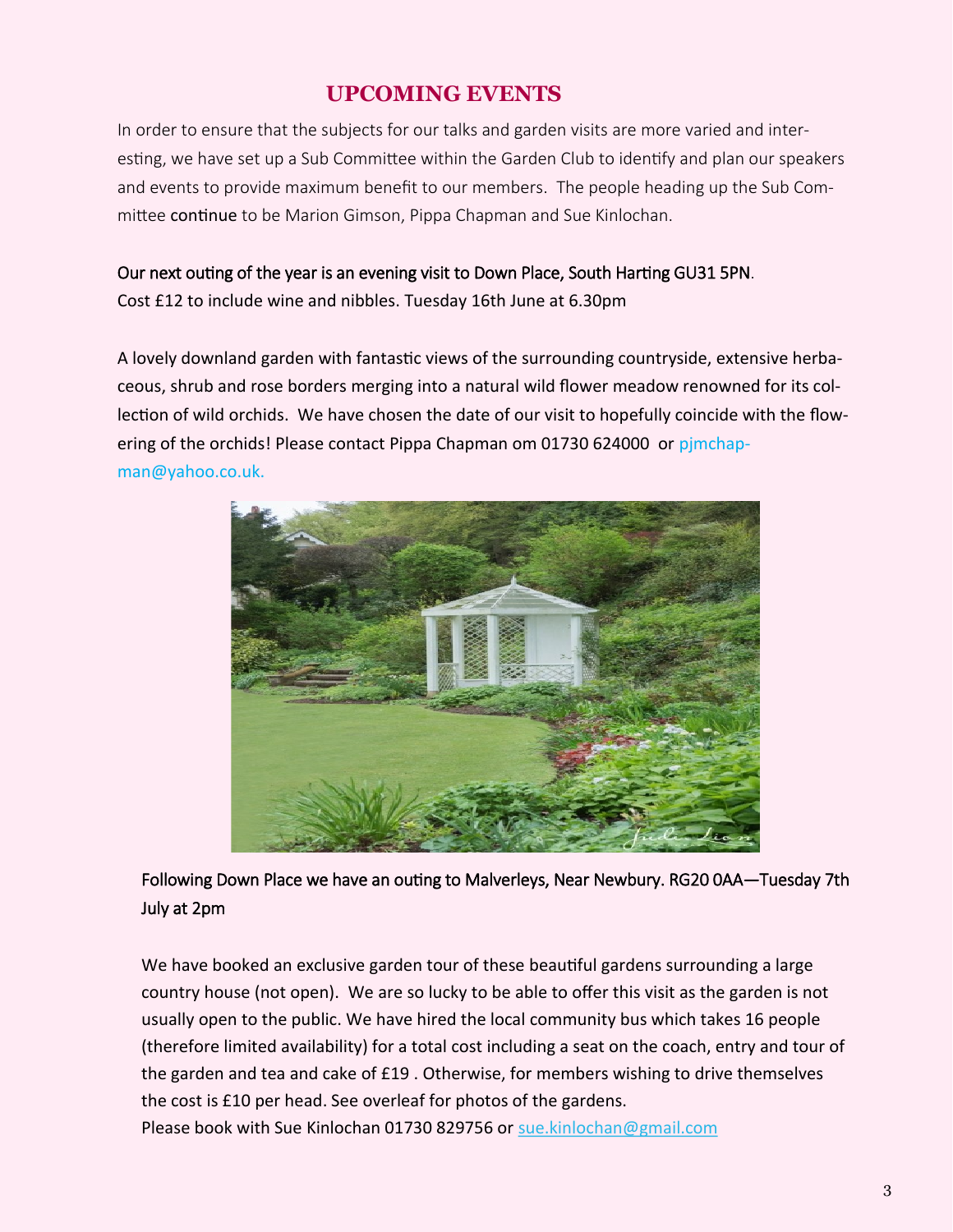#### **UPCOMING EVENTS**

In order to ensure that the subjects for our talks and garden visits are more varied and interesting, we have set up a Sub Committee within the Garden Club to identify and plan our speakers and events to provide maximum benefit to our members. The people heading up the Sub Committee continue to be Marion Gimson, Pippa Chapman and Sue Kinlochan.

#### Our next outing of the year is an evening visit to Down Place, South Harting GU31 5PN.

Cost £12 to include wine and nibbles. Tuesday 16th June at 6.30pm

A lovely downland garden with fantastic views of the surrounding countryside, extensive herbaceous, shrub and rose borders merging into a natural wild flower meadow renowned for its collection of wild orchids. We have chosen the date of our visit to hopefully coincide with the flowering of the orchids! Please contact Pippa Chapman om 01730 624000 or pjmchapman@yahoo.co.uk.



Following Down Place we have an outing to Malverleys, Near Newbury. RG20 0AA—Tuesday 7th July at 2pm

We have booked an exclusive garden tour of these beautiful gardens surrounding a large country house (not open). We are so lucky to be able to offer this visit as the garden is not usually open to the public. We have hired the local community bus which takes 16 people (therefore limited availability) for a total cost including a seat on the coach, entry and tour of the garden and tea and cake of £19 . Otherwise, for members wishing to drive themselves the cost is £10 per head. See overleaf for photos of the gardens. Please book with Sue Kinlochan 01730 829756 or [sue.kinlochan@gmail.com](mailto:sue.kinlochan@gmail.com)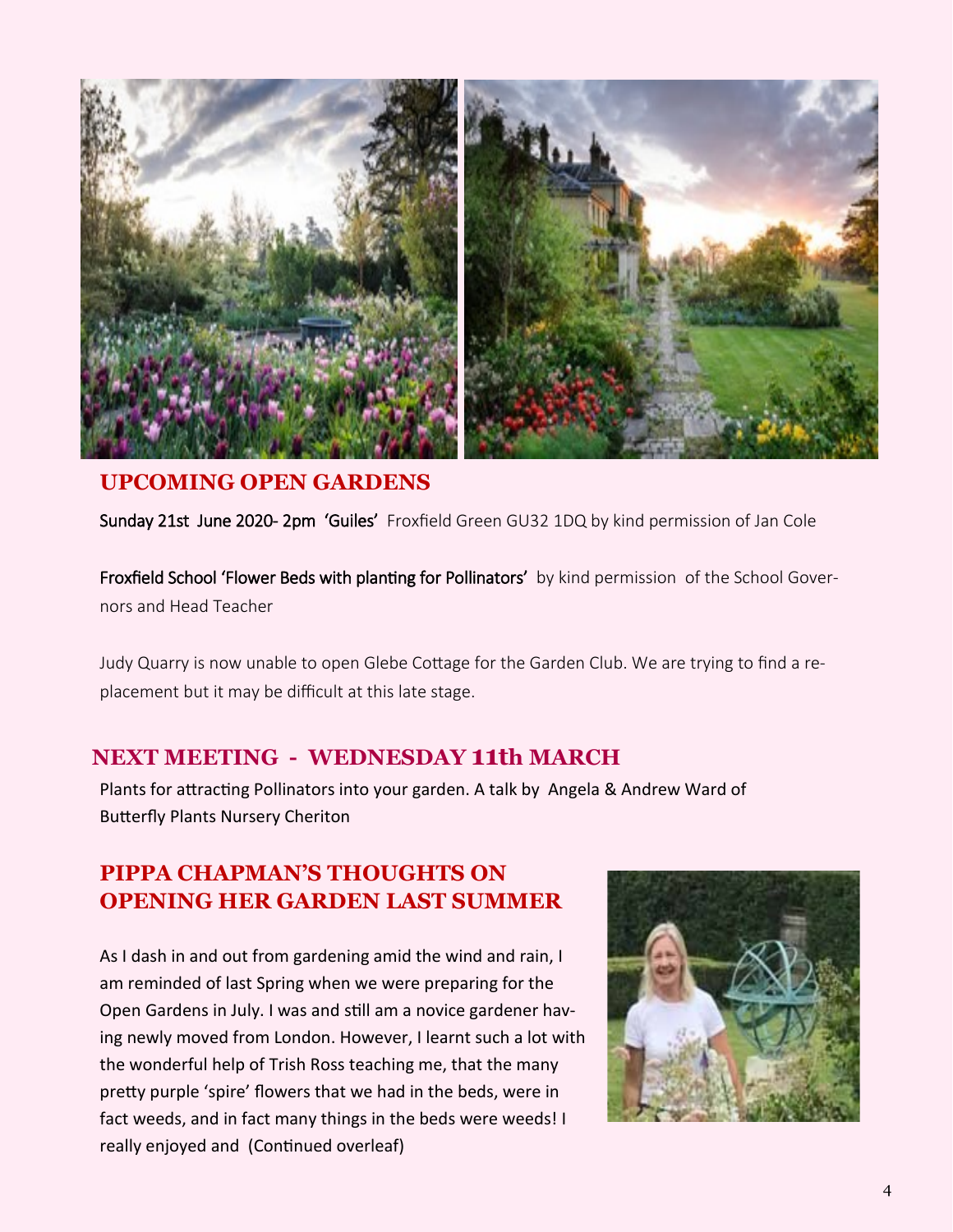

#### **UPCOMING OPEN GARDENS**

Sunday 21st June 2020- 2pm 'Guiles' Froxfield Green GU32 1DQ by kind permission of Jan Cole

Froxfield School 'Flower Beds with planting for Pollinators' by kind permission of the School Governors and Head Teacher

Judy Quarry is now unable to open Glebe Cottage for the Garden Club. We are trying to find a replacement but it may be difficult at this late stage.

#### **NEXT MEETING - WEDNESDAY 11th MARCH**

Plants for attracting Pollinators into your garden. A talk by Angela & Andrew Ward of Butterfly Plants Nursery Cheriton

### **PIPPA CHAPMAN'S THOUGHTS ON OPENING HER GARDEN LAST SUMMER**

As I dash in and out from gardening amid the wind and rain, I am reminded of last Spring when we were preparing for the Open Gardens in July. I was and still am a novice gardener having newly moved from London. However, I learnt such a lot with the wonderful help of Trish Ross teaching me, that the many pretty purple 'spire' flowers that we had in the beds, were in fact weeds, and in fact many things in the beds were weeds! I really enjoyed and (Continued overleaf)

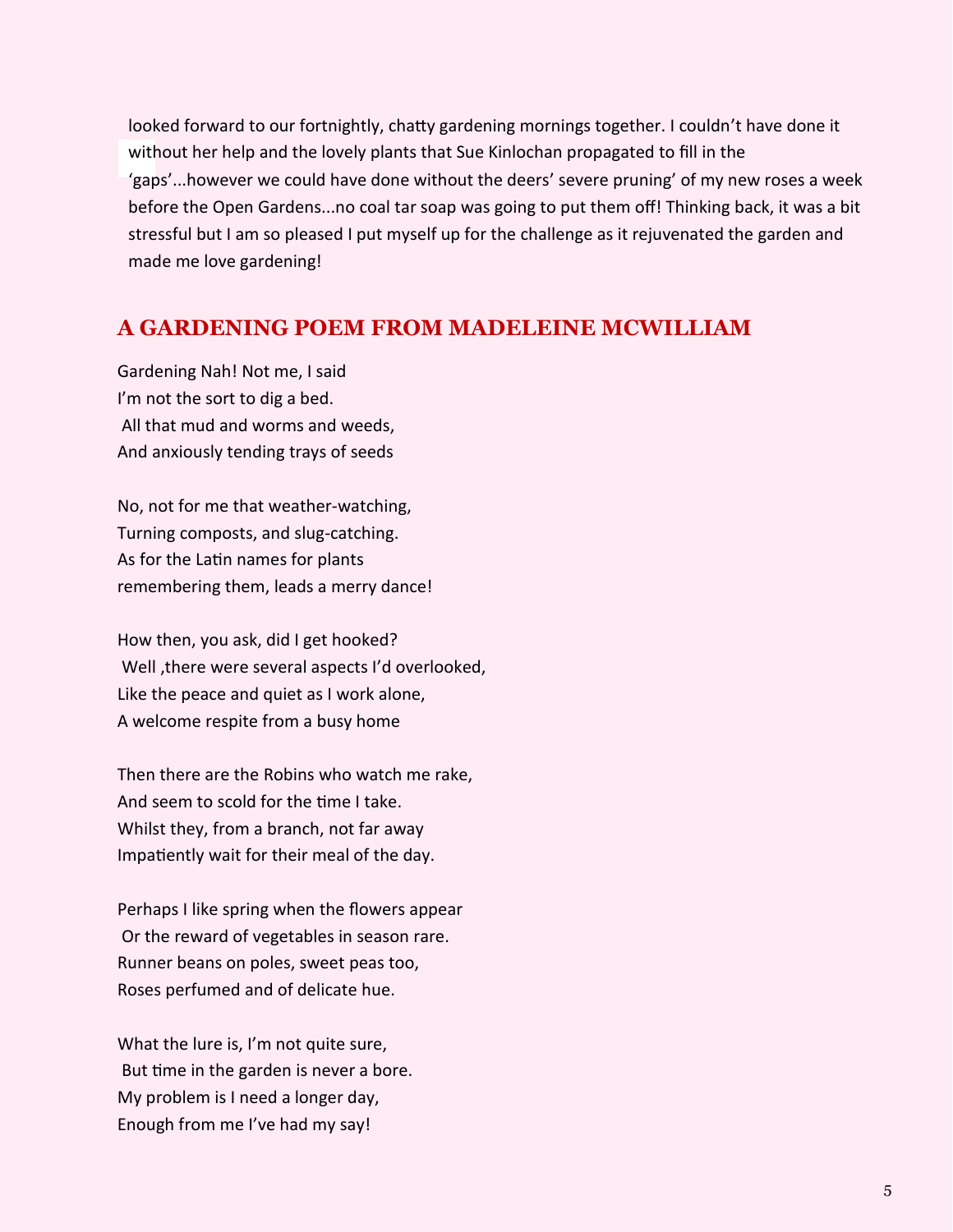looked forward to our fortnightly, chatty gardening mornings together. I couldn't have done it without her help and the lovely plants that Sue Kinlochan propagated to fill in the 'gaps'...however we could have done without the deers' severe pruning' of my new roses a week before the Open Gardens...no coal tar soap was going to put them off! Thinking back, it was a bit stressful but I am so pleased I put myself up for the challenge as it rejuvenated the garden and made me love gardening!

#### **A GARDENING POEM FROM MADELEINE MCWILLIAM**

Gardening Nah! Not me, I said I'm not the sort to dig a bed. All that mud and worms and weeds, And anxiously tending trays of seeds

No, not for me that weather-watching, Turning composts, and slug-catching. As for the Latin names for plants remembering them, leads a merry dance!

How then, you ask, did I get hooked? Well ,there were several aspects I'd overlooked, Like the peace and quiet as I work alone, A welcome respite from a busy home

Then there are the Robins who watch me rake, And seem to scold for the time I take. Whilst they, from a branch, not far away Impatiently wait for their meal of the day.

Perhaps I like spring when the flowers appear Or the reward of vegetables in season rare. Runner beans on poles, sweet peas too, Roses perfumed and of delicate hue.

What the lure is, I'm not quite sure, But time in the garden is never a bore. My problem is I need a longer day, Enough from me I've had my say!